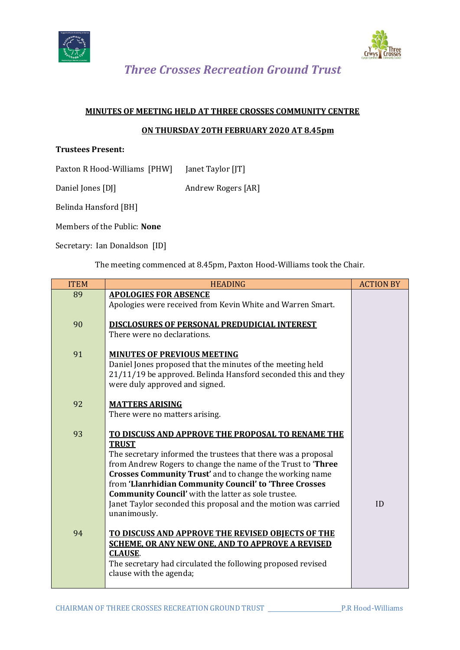



 *Three Crosses Recreation Ground Trust*

## **MINUTES OF MEETING HELD AT THREE CROSSES COMMUNITY CENTRE**

## **ON THURSDAY 20TH FEBRUARY 2020 AT 8.45pm**

## **Trustees Present:**

Paxton R Hood-Williams [PHW] Janet Taylor [JT]

Daniel Jones [DJ] Andrew Rogers [AR]

Belinda Hansford [BH]

Members of the Public: **None**

Secretary: Ian Donaldson [ID]

The meeting commenced at 8.45pm, Paxton Hood-Williams took the Chair.

| <b>ITEM</b> | <b>HEADING</b>                                                                                                                                                                                                                                                                                                                                                                                                                                                          | <b>ACTION BY</b> |
|-------------|-------------------------------------------------------------------------------------------------------------------------------------------------------------------------------------------------------------------------------------------------------------------------------------------------------------------------------------------------------------------------------------------------------------------------------------------------------------------------|------------------|
| 89          | <b>APOLOGIES FOR ABSENCE</b><br>Apologies were received from Kevin White and Warren Smart.                                                                                                                                                                                                                                                                                                                                                                              |                  |
| 90          | DISCLOSURES OF PERSONAL PREDUDICIAL INTEREST<br>There were no declarations.                                                                                                                                                                                                                                                                                                                                                                                             |                  |
| 91          | <b>MINUTES OF PREVIOUS MEETING</b><br>Daniel Jones proposed that the minutes of the meeting held<br>21/11/19 be approved. Belinda Hansford seconded this and they<br>were duly approved and signed.                                                                                                                                                                                                                                                                     |                  |
| 92          | <b>MATTERS ARISING</b><br>There were no matters arising.                                                                                                                                                                                                                                                                                                                                                                                                                |                  |
| 93          | TO DISCUSS AND APPROVE THE PROPOSAL TO RENAME THE<br><b>TRUST</b><br>The secretary informed the trustees that there was a proposal<br>from Andrew Rogers to change the name of the Trust to 'Three<br>Crosses Community Trust' and to change the working name<br>from 'Llanrhidian Community Council' to 'Three Crosses<br><b>Community Council'</b> with the latter as sole trustee.<br>Janet Taylor seconded this proposal and the motion was carried<br>unanimously. | ID               |
| 94          | TO DISCUSS AND APPROVE THE REVISED OBJECTS OF THE<br><b>SCHEME, OR ANY NEW ONE, AND TO APPROVE A REVISED</b><br><b>CLAUSE.</b><br>The secretary had circulated the following proposed revised<br>clause with the agenda;                                                                                                                                                                                                                                                |                  |